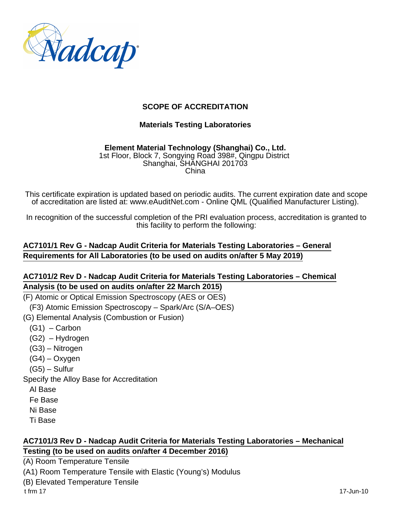

### **SCOPE OF ACCREDITATION**

#### **Materials Testing Laboratories**

#### **Element Material Technology (Shanghai) Co., Ltd.** 1st Floor, Block 7, Songying Road 398#, Qingpu District Shanghai, SHANGHAI 201703 China

This certificate expiration is updated based on periodic audits. The current expiration date and scope of accreditation are listed at: www.eAuditNet.com - Online QML (Qualified Manufacturer Listing).

In recognition of the successful completion of the PRI evaluation process, accreditation is granted to this facility to perform the following:

# **AC7101/1 Rev G - Nadcap Audit Criteria for Materials Testing Laboratories – General Requirements for All Laboratories (to be used on audits on/after 5 May 2019)**

#### **AC7101/2 Rev D - Nadcap Audit Criteria for Materials Testing Laboratories – Chemical Analysis (to be used on audits on/after 22 March 2015)**

(F) Atomic or Optical Emission Spectroscopy (AES or OES)

(F3) Atomic Emission Spectroscopy – Spark/Arc (S/A–OES)

(G) Elemental Analysis (Combustion or Fusion)

 $(G1)$  – Carbon

(G2) – Hydrogen

(G3) – Nitrogen

(G4) – Oxygen

(G5) – Sulfur

Specify the Alloy Base for Accreditation

Al Base

Fe Base

Ni Base

Ti Base

#### **AC7101/3 Rev D - Nadcap Audit Criteria for Materials Testing Laboratories – Mechanical Testing (to be used on audits on/after 4 December 2016)**

(A) Room Temperature Tensile

(A1) Room Temperature Tensile with Elastic (Young's) Modulus

(B) Elevated Temperature Tensile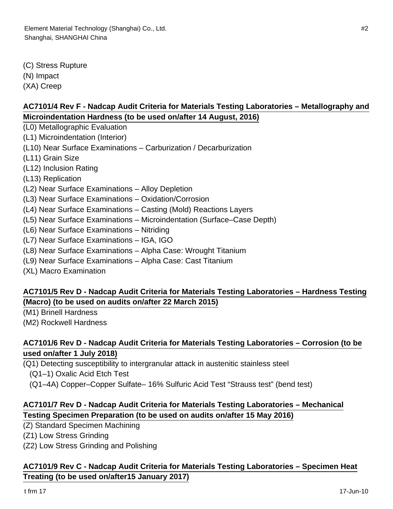(C) Stress Rupture (N) Impact

(XA) Creep

# **AC7101/4 Rev F - Nadcap Audit Criteria for Materials Testing Laboratories – Metallography and Microindentation Hardness (to be used on/after 14 August, 2016)**

- (L0) Metallographic Evaluation
- (L1) Microindentation (Interior)
- (L10) Near Surface Examinations Carburization / Decarburization
- (L11) Grain Size
- (L12) Inclusion Rating
- (L13) Replication
- (L2) Near Surface Examinations Alloy Depletion
- (L3) Near Surface Examinations Oxidation/Corrosion
- (L4) Near Surface Examinations Casting (Mold) Reactions Layers
- (L5) Near Surface Examinations Microindentation (Surface–Case Depth)
- (L6) Near Surface Examinations Nitriding
- (L7) Near Surface Examinations IGA, IGO
- (L8) Near Surface Examinations Alpha Case: Wrought Titanium
- (L9) Near Surface Examinations Alpha Case: Cast Titanium
- (XL) Macro Examination

### **AC7101/5 Rev D - Nadcap Audit Criteria for Materials Testing Laboratories – Hardness Testing (Macro) (to be used on audits on/after 22 March 2015)**

- (M1) Brinell Hardness
- (M2) Rockwell Hardness

# **AC7101/6 Rev D - Nadcap Audit Criteria for Materials Testing Laboratories – Corrosion (to be used on/after 1 July 2018)**

- (Q1) Detecting susceptibility to intergranular attack in austenitic stainless steel
	- (Q1–1) Oxalic Acid Etch Test
	- (Q1–4A) Copper–Copper Sulfate– 16% Sulfuric Acid Test "Strauss test" (bend test)

# **AC7101/7 Rev D - Nadcap Audit Criteria for Materials Testing Laboratories – Mechanical Testing Specimen Preparation (to be used on audits on/after 15 May 2016)**

- (Z) Standard Specimen Machining
- (Z1) Low Stress Grinding
- (Z2) Low Stress Grinding and Polishing

### **AC7101/9 Rev C - Nadcap Audit Criteria for Materials Testing Laboratories – Specimen Heat Treating (to be used on/after15 January 2017)**